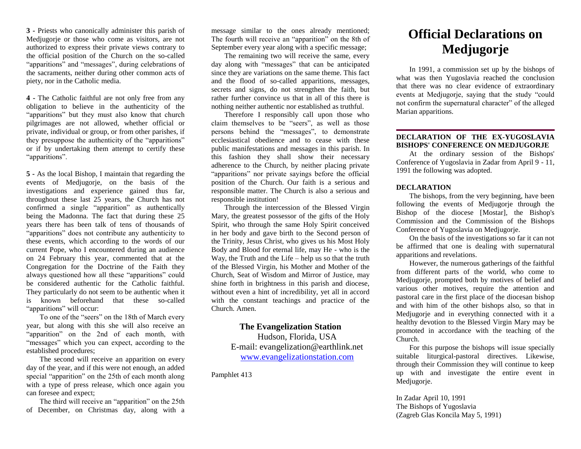**3 -** Priests who canonically administer this parish of Medjugorje or those who come as visitors, are not authorized to express their private views contrary to the official position of the Church on the so-called "apparitions" and "messages", during celebrations of the sacraments, neither during other common acts of piety, nor in the Catholic media.

**4 -** The Catholic faithful are not only free from any obligation to believe in the authenticity of the "apparitions" but they must also know that church pilgrimages are not allowed, whether official or private, individual or group, or from other parishes, if they presuppose the authenticity of the "apparitions" or if by undertaking them attempt to certify these "apparitions".

**5 -** As the local Bishop, I maintain that regarding the events of Medjugorje, on the basis of the investigations and experience gained thus far, throughout these last 25 years, the Church has not confirmed a single "apparition" as authentically being the Madonna. The fact that during these 25 years there has been talk of tens of thousands of "apparitions" does not contribute any authenticity to these events, which according to the words of our current Pope, who I encountered during an audience on 24 February this year, commented that at the Congregation for the Doctrine of the Faith they always questioned how all these "apparitions" could be considered authentic for the Catholic faithful. They particularly do not seem to be authentic when it is known beforehand that these so-called "apparitions" will occur:

To one of the "seers" on the 18th of March every year, but along with this she will also receive an "apparition" on the 2nd of each month, with "messages" which you can expect, according to the established procedures;

The second will receive an apparition on every day of the year, and if this were not enough, an added special "apparition" on the 25th of each month along with a type of press release, which once again you can foresee and expect;

The third will receive an "apparition" on the 25th of December, on Christmas day, along with a

message similar to the ones already mentioned; The fourth will receive an "apparition" on the 8th of September every year along with a specific message;

The remaining two will receive the same, every day along with "messages" that can be anticipated since they are variations on the same theme. This fact and the flood of so-called apparitions, messages, secrets and signs, do not strengthen the faith, but rather further convince us that in all of this there is nothing neither authentic nor established as truthful.

Therefore I responsibly call upon those who claim themselves to be "seers", as well as those persons behind the "messages", to demonstrate ecclesiastical obedience and to cease with these public manifestations and messages in this parish. In this fashion they shall show their necessary adherence to the Church, by neither placing private "apparitions" nor private sayings before the official position of the Church. Our faith is a serious and responsible matter. The Church is also a serious and responsible institution!

Through the intercession of the Blessed Virgin Mary, the greatest possessor of the gifts of the Holy Spirit, who through the same Holy Spirit conceived in her body and gave birth to the Second person of the Trinity, Jesus Christ, who gives us his Most Holy Body and Blood for eternal life, may He - who is the Way, the Truth and the Life – help us so that the truth of the Blessed Virgin, his Mother and Mother of the Church, Seat of Wisdom and Mirror of Justice, may shine forth in brightness in this parish and diocese, without even a hint of incredibility, yet all in accord with the constant teachings and practice of the Church. Amen.

> **The Evangelization Station**  Hudson, Florida, USA E-mail: evangelization@earthlink.net [www.evangelizationstation.com](http://www.pjpiisoe.org/)

Pamphlet 413

# **Official Declarations on Medjugorje**

In 1991, a commission set up by the bishops of what was then Yugoslavia reached the conclusion that there was no clear evidence of extraordinary events at Medjugorje, saying that the study "could not confirm the supernatural character" of the alleged Marian apparitions.

#### **DECLARATION OF THE EX-YUGOSLAVIA BISHOPS' CONFERENCE ON MEDJUGORJE**

At the ordinary session of the Bishops' Conference of Yugoslavia in Zadar from April 9 - 11, 1991 the following was adopted.

#### **DECLARATION**

The bishops, from the very beginning, have been following the events of Medjugorje through the Bishop of the diocese [Mostar], the Bishop's Commission and the Commission of the Bishops Conference of Yugoslavia on Medjugorje.

On the basis of the investigations so far it can not be affirmed that one is dealing with supernatural apparitions and revelations.

However, the numerous gatherings of the faithful from different parts of the world, who come to Medjugorje, prompted both by motives of belief and various other motives, require the attention and pastoral care in the first place of the diocesan bishop and with him of the other bishops also, so that in Medjugorje and in everything connected with it a healthy devotion to the Blessed Virgin Mary may be promoted in accordance with the teaching of the Church.

For this purpose the bishops will issue specially suitable liturgical-pastoral directives. Likewise, through their Commission they will continue to keep up with and investigate the entire event in Medjugorje.

In Zadar April 10, 1991 The Bishops of Yugoslavia (Zagreb Glas Koncila May 5, 1991)